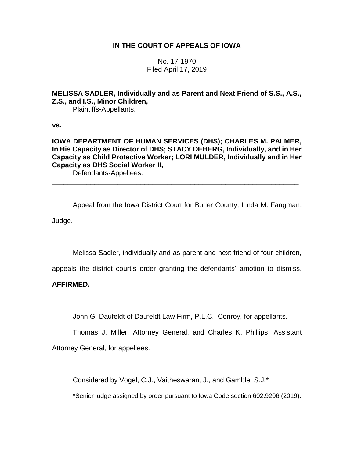# **IN THE COURT OF APPEALS OF IOWA**

No. 17-1970 Filed April 17, 2019

**MELISSA SADLER, Individually and as Parent and Next Friend of S.S., A.S., Z.S., and I.S., Minor Children,**

Plaintiffs-Appellants,

**vs.**

# **IOWA DEPARTMENT OF HUMAN SERVICES (DHS); CHARLES M. PALMER, In His Capacity as Director of DHS; STACY DEBERG, Individually, and in Her Capacity as Child Protective Worker; LORI MULDER, Individually and in Her Capacity as DHS Social Worker II,**

\_\_\_\_\_\_\_\_\_\_\_\_\_\_\_\_\_\_\_\_\_\_\_\_\_\_\_\_\_\_\_\_\_\_\_\_\_\_\_\_\_\_\_\_\_\_\_\_\_\_\_\_\_\_\_\_\_\_\_\_\_\_\_\_

Defendants-Appellees.

Appeal from the Iowa District Court for Butler County, Linda M. Fangman, Judge.

Melissa Sadler, individually and as parent and next friend of four children,

appeals the district court's order granting the defendants' amotion to dismiss.

### **AFFIRMED.**

John G. Daufeldt of Daufeldt Law Firm, P.L.C., Conroy, for appellants.

Thomas J. Miller, Attorney General, and Charles K. Phillips, Assistant Attorney General, for appellees.

Considered by Vogel, C.J., Vaitheswaran, J., and Gamble, S.J.\*

\*Senior judge assigned by order pursuant to Iowa Code section 602.9206 (2019).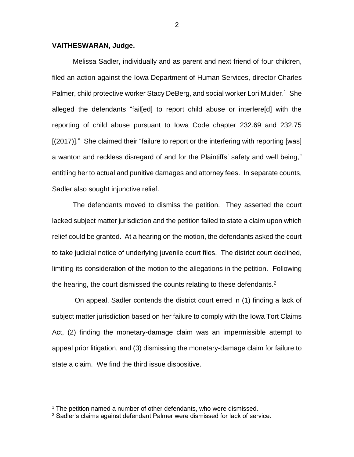#### **VAITHESWARAN, Judge.**

Melissa Sadler, individually and as parent and next friend of four children, filed an action against the Iowa Department of Human Services, director Charles Palmer, child protective worker Stacy DeBerg, and social worker Lori Mulder.<sup>1</sup> She alleged the defendants "fail[ed] to report child abuse or interfere[d] with the reporting of child abuse pursuant to Iowa Code chapter 232.69 and 232.75 [(2017)]." She claimed their "failure to report or the interfering with reporting [was] a wanton and reckless disregard of and for the Plaintiffs' safety and well being," entitling her to actual and punitive damages and attorney fees. In separate counts, Sadler also sought injunctive relief.

The defendants moved to dismiss the petition. They asserted the court lacked subject matter jurisdiction and the petition failed to state a claim upon which relief could be granted. At a hearing on the motion, the defendants asked the court to take judicial notice of underlying juvenile court files. The district court declined, limiting its consideration of the motion to the allegations in the petition. Following the hearing, the court dismissed the counts relating to these defendants.<sup>2</sup>

On appeal, Sadler contends the district court erred in (1) finding a lack of subject matter jurisdiction based on her failure to comply with the Iowa Tort Claims Act, (2) finding the monetary-damage claim was an impermissible attempt to appeal prior litigation, and (3) dismissing the monetary-damage claim for failure to state a claim. We find the third issue dispositive.

 $\overline{a}$ 

<sup>&</sup>lt;sup>1</sup> The petition named a number of other defendants, who were dismissed.

 $2$  Sadler's claims against defendant Palmer were dismissed for lack of service.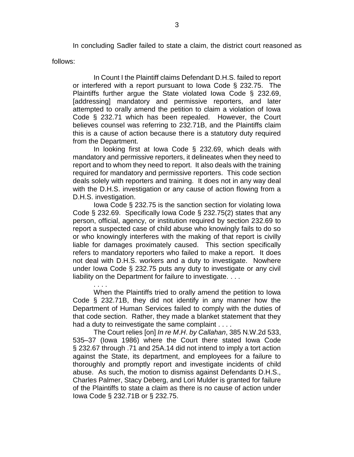In concluding Sadler failed to state a claim, the district court reasoned as

follows:

In Count I the Plaintiff claims Defendant D.H.S. failed to report or interfered with a report pursuant to Iowa Code § 232.75. The Plaintiffs further argue the State violated Iowa Code § 232.69, [addressing] mandatory and permissive reporters, and later attempted to orally amend the petition to claim a violation of Iowa Code § 232.71 which has been repealed. However, the Court believes counsel was referring to 232.71B, and the Plaintiffs claim this is a cause of action because there is a statutory duty required from the Department.

In looking first at Iowa Code § 232.69, which deals with mandatory and permissive reporters, it delineates when they need to report and to whom they need to report. It also deals with the training required for mandatory and permissive reporters. This code section deals solely with reporters and training. It does not in any way deal with the D.H.S. investigation or any cause of action flowing from a D.H.S. investigation.

Iowa Code § 232.75 is the sanction section for violating Iowa Code § 232.69. Specifically Iowa Code § 232.75(2) states that any person, official, agency, or institution required by section 232.69 to report a suspected case of child abuse who knowingly fails to do so or who knowingly interferes with the making of that report is civilly liable for damages proximately caused. This section specifically refers to mandatory reporters who failed to make a report. It does not deal with D.H.S. workers and a duty to investigate. Nowhere under Iowa Code § 232.75 puts any duty to investigate or any civil liability on the Department for failure to investigate. . . .

. . . . When the Plaintiffs tried to orally amend the petition to Iowa Code § 232.71B, they did not identify in any manner how the Department of Human Services failed to comply with the duties of that code section. Rather, they made a blanket statement that they had a duty to reinvestigate the same complaint . . . .

The Court relies [on] *In re M*.*H*. *by Callahan*, 385 N.W.2d 533, 535–37 (Iowa 1986) where the Court there stated Iowa Code § 232.67 through .71 and 25A.14 did not intend to imply a tort action against the State, its department, and employees for a failure to thoroughly and promptly report and investigate incidents of child abuse. As such, the motion to dismiss against Defendants D.H.S., Charles Palmer, Stacy Deberg, and Lori Mulder is granted for failure of the Plaintiffs to state a claim as there is no cause of action under Iowa Code § 232.71B or § 232.75.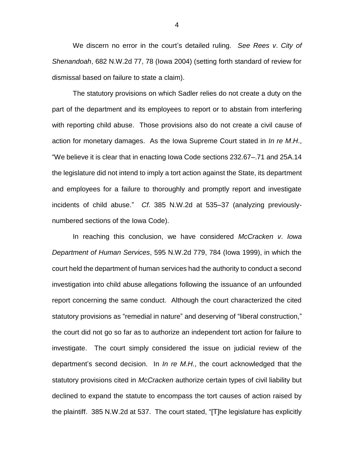We discern no error in the court's detailed ruling. *See Rees v*. *City of Shenandoah*, 682 N.W.2d 77, 78 (Iowa 2004) (setting forth standard of review for dismissal based on failure to state a claim).

The statutory provisions on which Sadler relies do not create a duty on the part of the department and its employees to report or to abstain from interfering with reporting child abuse. Those provisions also do not create a civil cause of action for monetary damages. As the Iowa Supreme Court stated in *In re M*.*H*., "We believe it is clear that in enacting Iowa Code sections 232.67–.71 and 25A.14 the legislature did not intend to imply a tort action against the State, its department and employees for a failure to thoroughly and promptly report and investigate incidents of child abuse." *Cf*. 385 N.W.2d at 535–37 (analyzing previouslynumbered sections of the Iowa Code).

In reaching this conclusion, we have considered *McCracken v*. *Iowa Department of Human Services*, 595 N.W.2d 779, 784 (Iowa 1999), in which the court held the department of human services had the authority to conduct a second investigation into child abuse allegations following the issuance of an unfounded report concerning the same conduct. Although the court characterized the cited statutory provisions as "remedial in nature" and deserving of "liberal construction," the court did not go so far as to authorize an independent tort action for failure to investigate. The court simply considered the issue on judicial review of the department's second decision. In *In re M*.*H*., the court acknowledged that the statutory provisions cited in *McCracken* authorize certain types of civil liability but declined to expand the statute to encompass the tort causes of action raised by the plaintiff. 385 N.W.2d at 537. The court stated, "[T]he legislature has explicitly

4